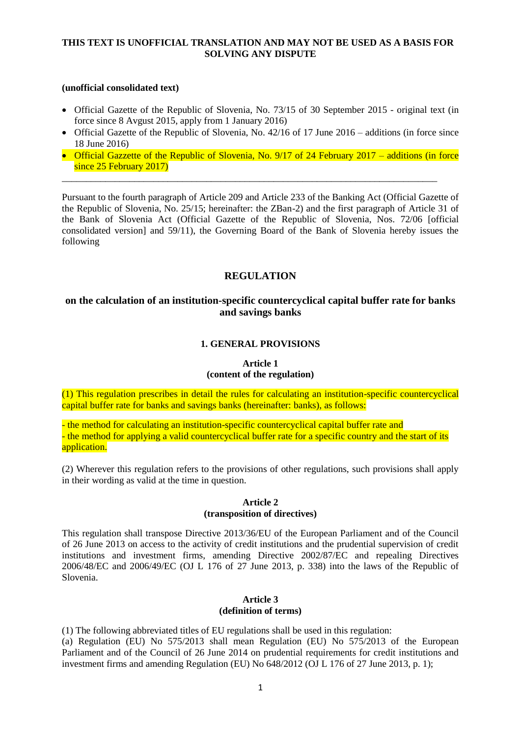#### **(unofficial consolidated text)**

- Official Gazette of the Republic of Slovenia, No. 73/15 of 30 September 2015 original text (in force since 8 Avgust 2015, apply from 1 January 2016)
- Official Gazette of the Republic of Slovenia, No. 42/16 of 17 June 2016 additions (in force since 18 June 2016)
- Official Gazzette of the Republic of Slovenia, No. 9/17 of 24 February 2017 additions (in force since 25 February 2017)

\_\_\_\_\_\_\_\_\_\_\_\_\_\_\_\_\_\_\_\_\_\_\_\_\_\_\_\_\_\_\_\_\_\_\_\_\_\_\_\_\_\_\_\_\_\_\_\_\_\_\_\_\_\_\_\_\_\_\_\_\_\_\_\_\_\_\_\_\_\_\_\_\_\_\_\_\_\_

Pursuant to the fourth paragraph of Article 209 and Article 233 of the Banking Act (Official Gazette of the Republic of Slovenia, No. 25/15; hereinafter: the ZBan-2) and the first paragraph of Article 31 of the Bank of Slovenia Act (Official Gazette of the Republic of Slovenia, Nos. 72/06 [official consolidated version] and 59/11), the Governing Board of the Bank of Slovenia hereby issues the following

# **REGULATION**

# **on the calculation of an institution-specific countercyclical capital buffer rate for banks and savings banks**

## **1. GENERAL PROVISIONS**

# **Article 1**

# **(content of the regulation)**

(1) This regulation prescribes in detail the rules for calculating an institution-specific countercyclical capital buffer rate for banks and savings banks (hereinafter: banks), as follows:

- the method for calculating an institution-specific countercyclical capital buffer rate and - the method for applying a valid countercyclical buffer rate for a specific country and the start of its application.

(2) Wherever this regulation refers to the provisions of other regulations, such provisions shall apply in their wording as valid at the time in question.

#### **Article 2 (transposition of directives)**

This regulation shall transpose Directive 2013/36/EU of the European Parliament and of the Council of 26 June 2013 on access to the activity of credit institutions and the prudential supervision of credit institutions and investment firms, amending Directive 2002/87/EC and repealing Directives 2006/48/EC and 2006/49/EC (OJ L 176 of 27 June 2013, p. 338) into the laws of the Republic of Slovenia.

# **Article 3 (definition of terms)**

(1) The following abbreviated titles of EU regulations shall be used in this regulation:

(a) Regulation (EU) No 575/2013 shall mean Regulation (EU) No 575/2013 of the European Parliament and of the Council of 26 June 2014 on prudential requirements for credit institutions and investment firms and amending Regulation (EU) No 648/2012 (OJ L 176 of 27 June 2013, p. 1);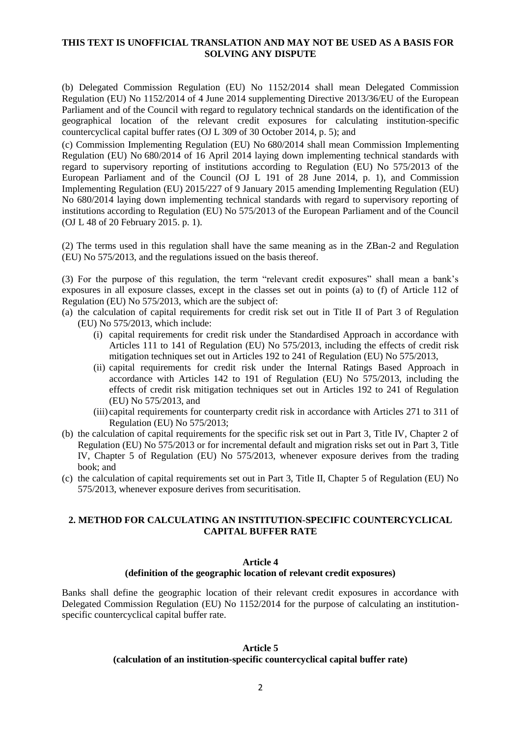(b) Delegated Commission Regulation (EU) No 1152/2014 shall mean Delegated Commission Regulation (EU) No 1152/2014 of 4 June 2014 supplementing Directive 2013/36/EU of the European Parliament and of the Council with regard to regulatory technical standards on the identification of the geographical location of the relevant credit exposures for calculating institution-specific countercyclical capital buffer rates (OJ L 309 of 30 October 2014, p. 5); and

(c) Commission Implementing Regulation (EU) No 680/2014 shall mean Commission Implementing Regulation (EU) No 680/2014 of 16 April 2014 laying down implementing technical standards with regard to supervisory reporting of institutions according to Regulation (EU) No 575/2013 of the European Parliament and of the Council (OJ L 191 of 28 June 2014, p. 1), and Commission Implementing Regulation (EU) 2015/227 of 9 January 2015 amending Implementing Regulation (EU) No 680/2014 laying down implementing technical standards with regard to supervisory reporting of institutions according to Regulation (EU) No 575/2013 of the European Parliament and of the Council (OJ L 48 of 20 February 2015. p. 1).

(2) The terms used in this regulation shall have the same meaning as in the ZBan-2 and Regulation (EU) No 575/2013, and the regulations issued on the basis thereof.

(3) For the purpose of this regulation, the term "relevant credit exposures" shall mean a bank's exposures in all exposure classes, except in the classes set out in points (a) to (f) of Article 112 of Regulation (EU) No 575/2013, which are the subject of:

- (a) the calculation of capital requirements for credit risk set out in Title II of Part 3 of Regulation (EU) No 575/2013, which include:
	- (i) capital requirements for credit risk under the Standardised Approach in accordance with Articles 111 to 141 of Regulation (EU) No 575/2013, including the effects of credit risk mitigation techniques set out in Articles 192 to 241 of Regulation (EU) No 575/2013,
	- (ii) capital requirements for credit risk under the Internal Ratings Based Approach in accordance with Articles 142 to 191 of Regulation (EU) No 575/2013, including the effects of credit risk mitigation techniques set out in Articles 192 to 241 of Regulation (EU) No 575/2013, and
	- (iii) capital requirements for counterparty credit risk in accordance with Articles 271 to 311 of Regulation (EU) No 575/2013;
- (b) the calculation of capital requirements for the specific risk set out in Part 3, Title IV, Chapter 2 of Regulation (EU) No 575/2013 or for incremental default and migration risks set out in Part 3, Title IV, Chapter 5 of Regulation (EU) No 575/2013, whenever exposure derives from the trading book; and
- (c) the calculation of capital requirements set out in Part 3, Title II, Chapter 5 of Regulation (EU) No 575/2013, whenever exposure derives from securitisation.

#### **2. METHOD FOR CALCULATING AN INSTITUTION-SPECIFIC COUNTERCYCLICAL CAPITAL BUFFER RATE**

#### **Article 4**

#### **(definition of the geographic location of relevant credit exposures)**

Banks shall define the geographic location of their relevant credit exposures in accordance with Delegated Commission Regulation (EU) No 1152/2014 for the purpose of calculating an institutionspecific countercyclical capital buffer rate.

## **Article 5**

#### **(calculation of an institution-specific countercyclical capital buffer rate)**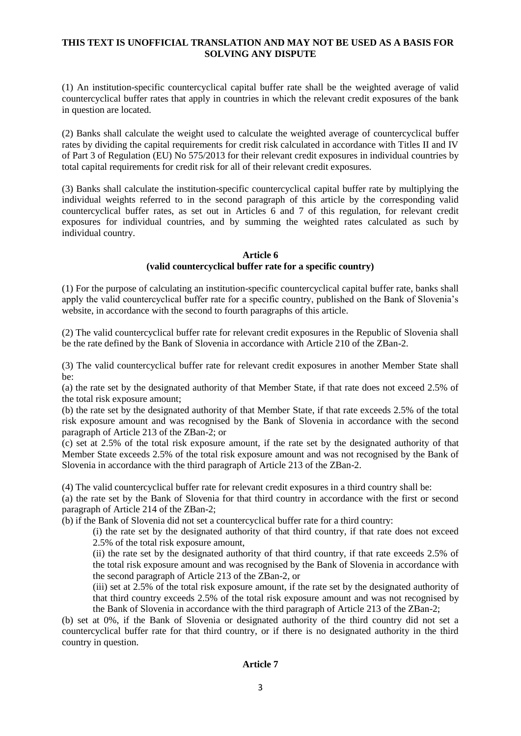(1) An institution-specific countercyclical capital buffer rate shall be the weighted average of valid countercyclical buffer rates that apply in countries in which the relevant credit exposures of the bank in question are located.

(2) Banks shall calculate the weight used to calculate the weighted average of countercyclical buffer rates by dividing the capital requirements for credit risk calculated in accordance with Titles II and IV of Part 3 of Regulation (EU) No 575/2013 for their relevant credit exposures in individual countries by total capital requirements for credit risk for all of their relevant credit exposures.

(3) Banks shall calculate the institution-specific countercyclical capital buffer rate by multiplying the individual weights referred to in the second paragraph of this article by the corresponding valid countercyclical buffer rates, as set out in Articles 6 and 7 of this regulation, for relevant credit exposures for individual countries, and by summing the weighted rates calculated as such by individual country.

#### **Article 6**

#### **(valid countercyclical buffer rate for a specific country)**

(1) For the purpose of calculating an institution-specific countercyclical capital buffer rate, banks shall apply the valid countercyclical buffer rate for a specific country, published on the Bank of Slovenia's website, in accordance with the second to fourth paragraphs of this article.

(2) The valid countercyclical buffer rate for relevant credit exposures in the Republic of Slovenia shall be the rate defined by the Bank of Slovenia in accordance with Article 210 of the ZBan-2.

(3) The valid countercyclical buffer rate for relevant credit exposures in another Member State shall be:

(a) the rate set by the designated authority of that Member State, if that rate does not exceed 2.5% of the total risk exposure amount;

(b) the rate set by the designated authority of that Member State, if that rate exceeds 2.5% of the total risk exposure amount and was recognised by the Bank of Slovenia in accordance with the second paragraph of Article 213 of the ZBan-2; or

(c) set at 2.5% of the total risk exposure amount, if the rate set by the designated authority of that Member State exceeds 2.5% of the total risk exposure amount and was not recognised by the Bank of Slovenia in accordance with the third paragraph of Article 213 of the ZBan-2.

(4) The valid countercyclical buffer rate for relevant credit exposures in a third country shall be:

(a) the rate set by the Bank of Slovenia for that third country in accordance with the first or second paragraph of Article 214 of the ZBan-2;

(b) if the Bank of Slovenia did not set a countercyclical buffer rate for a third country:

(i) the rate set by the designated authority of that third country, if that rate does not exceed 2.5% of the total risk exposure amount,

(ii) the rate set by the designated authority of that third country, if that rate exceeds 2.5% of the total risk exposure amount and was recognised by the Bank of Slovenia in accordance with the second paragraph of Article 213 of the ZBan-2, or

(iii) set at 2.5% of the total risk exposure amount, if the rate set by the designated authority of that third country exceeds 2.5% of the total risk exposure amount and was not recognised by the Bank of Slovenia in accordance with the third paragraph of Article 213 of the ZBan-2;

(b) set at 0%, if the Bank of Slovenia or designated authority of the third country did not set a countercyclical buffer rate for that third country, or if there is no designated authority in the third country in question.

#### **Article 7**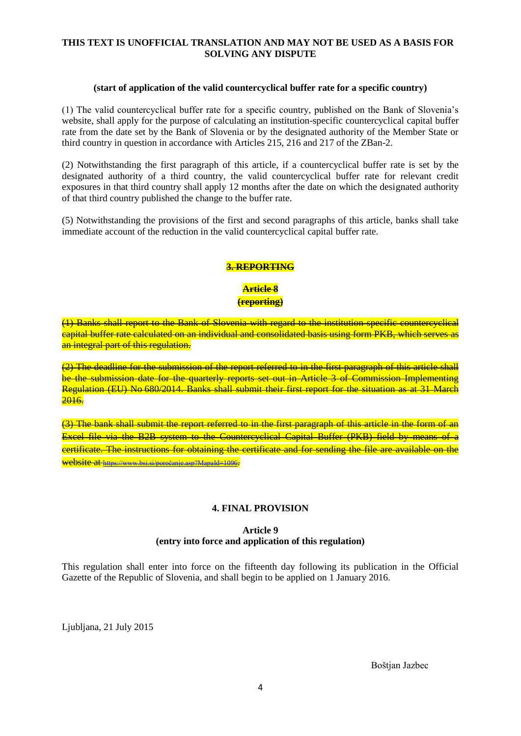#### **(start of application of the valid countercyclical buffer rate for a specific country)**

(1) The valid countercyclical buffer rate for a specific country, published on the Bank of Slovenia's website, shall apply for the purpose of calculating an institution-specific countercyclical capital buffer rate from the date set by the Bank of Slovenia or by the designated authority of the Member State or third country in question in accordance with Articles 215, 216 and 217 of the ZBan-2.

(2) Notwithstanding the first paragraph of this article, if a countercyclical buffer rate is set by the designated authority of a third country, the valid countercyclical buffer rate for relevant credit exposures in that third country shall apply 12 months after the date on which the designated authority of that third country published the change to the buffer rate.

(5) Notwithstanding the provisions of the first and second paragraphs of this article, banks shall take immediate account of the reduction in the valid countercyclical capital buffer rate.

## **3. REPORTING**

**Article 8 (reporting)**

(1) Banks shall report to the Bank of Slovenia with regard to the institution-specific countercyclical capital buffer rate calculated on an individual and consolidated basis using form PKB, which serves as an integral part of this regulation.

(2) The deadline for the submission of the report referred to in the first paragraph of this article shall be the submission date for the quarterly reports set out in Article 3 of Commission Implementing Regulation (EU) No 680/2014. Banks shall submit their first report for the situation as at 31 March 2016.

(3) The bank shall submit the report referred to in the first paragraph of this article in the form of an Excel file via the B2B system to the Countercyclical Capital Buffer (PKB) field by means of a certificate. The instructions for obtaining the certificate and for sending the file are available on the website at <https://www.bsi.si/poročanje.asp?MapaId=1096>.

#### **4. FINAL PROVISION**

## **Article 9 (entry into force and application of this regulation)**

This regulation shall enter into force on the fifteenth day following its publication in the Official Gazette of the Republic of Slovenia, and shall begin to be applied on 1 January 2016.

Liubliana, 21 July 2015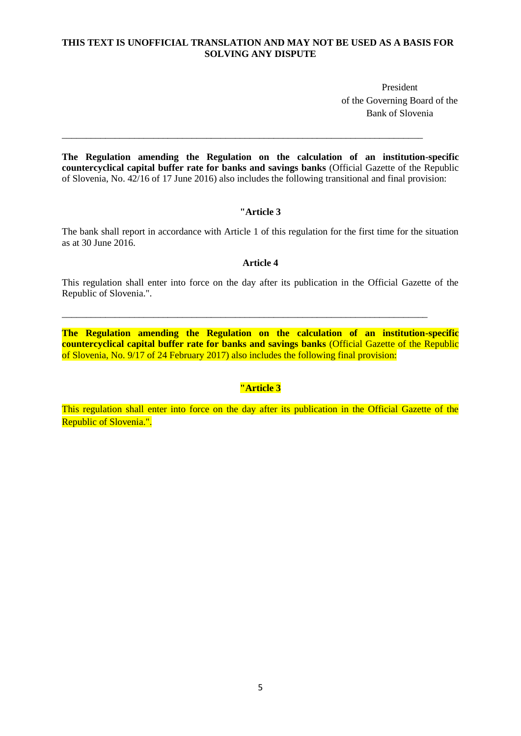President of the Governing Board of the Bank of Slovenia

**The Regulation amending the Regulation on the calculation of an institution-specific countercyclical capital buffer rate for banks and savings banks** (Official Gazette of the Republic of Slovenia, No. 42/16 of 17 June 2016) also includes the following transitional and final provision:

\_\_\_\_\_\_\_\_\_\_\_\_\_\_\_\_\_\_\_\_\_\_\_\_\_\_\_\_\_\_\_\_\_\_\_\_\_\_\_\_\_\_\_\_\_\_\_\_\_\_\_\_\_\_\_\_\_\_\_\_\_\_\_\_\_\_\_\_\_\_\_\_\_\_\_

#### **"Article 3**

The bank shall report in accordance with Article 1 of this regulation for the first time for the situation as at 30 June 2016.

#### **Article 4**

This regulation shall enter into force on the day after its publication in the Official Gazette of the Republic of Slovenia.".

\_\_\_\_\_\_\_\_\_\_\_\_\_\_\_\_\_\_\_\_\_\_\_\_\_\_\_\_\_\_\_\_\_\_\_\_\_\_\_\_\_\_\_\_\_\_\_\_\_\_\_\_\_\_\_\_\_\_\_\_\_\_\_\_\_\_\_\_\_\_\_\_\_\_\_\_

**The Regulation amending the Regulation on the calculation of an institution-specific countercyclical capital buffer rate for banks and savings banks** (Official Gazette of the Republic of Slovenia, No. 9/17 of 24 February 2017) also includes the following final provision:

## **"Article 3**

This regulation shall enter into force on the day after its publication in the Official Gazette of the Republic of Slovenia.".